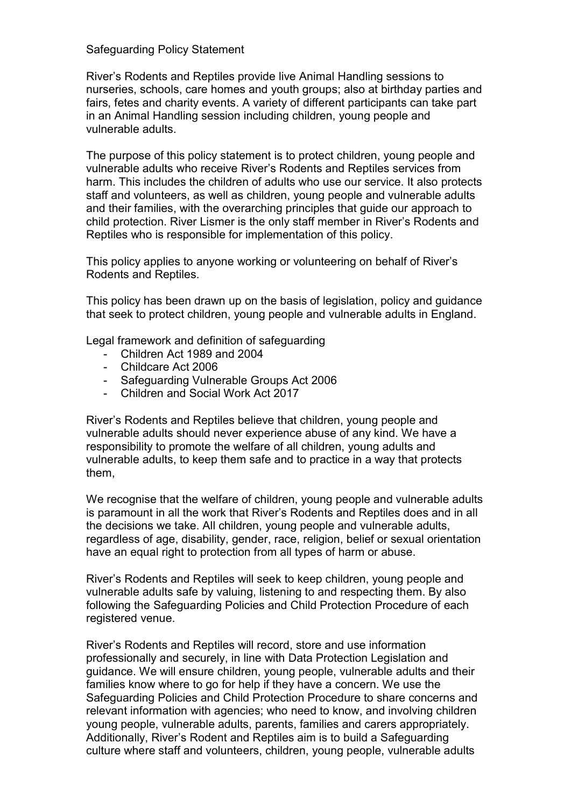#### Safeguarding Policy Statement

River's Rodents and Reptiles provide live Animal Handling sessions to nurseries, schools, care homes and youth groups; also at birthday parties and fairs, fetes and charity events. A variety of different participants can take part in an Animal Handling session including children, young people and vulnerable adults.

The purpose of this policy statement is to protect children, young people and vulnerable adults who receive River's Rodents and Reptiles services from harm. This includes the children of adults who use our service. It also protects staff and volunteers, as well as children, young people and vulnerable adults and their families, with the overarching principles that guide our approach to child protection. River Lismer is the only staff member in River's Rodents and Reptiles who is responsible for implementation of this policy.

This policy applies to anyone working or volunteering on behalf of River's Rodents and Reptiles.

This policy has been drawn up on the basis of legislation, policy and guidance that seek to protect children, young people and vulnerable adults in England.

Legal framework and definition of safeguarding

- Children Act 1989 and 2004
- Childcare Act 2006
- Safeguarding Vulnerable Groups Act 2006
- Children and Social Work Act 2017

River's Rodents and Reptiles believe that children, young people and vulnerable adults should never experience abuse of any kind. We have a responsibility to promote the welfare of all children, young adults and vulnerable adults, to keep them safe and to practice in a way that protects them,

We recognise that the welfare of children, young people and vulnerable adults is paramount in all the work that River's Rodents and Reptiles does and in all the decisions we take. All children, young people and vulnerable adults, regardless of age, disability, gender, race, religion, belief or sexual orientation have an equal right to protection from all types of harm or abuse.

River's Rodents and Reptiles will seek to keep children, young people and vulnerable adults safe by valuing, listening to and respecting them. By also following the Safeguarding Policies and Child Protection Procedure of each registered venue.

River's Rodents and Reptiles will record, store and use information professionally and securely, in line with Data Protection Legislation and guidance. We will ensure children, young people, vulnerable adults and their families know where to go for help if they have a concern. We use the Safeguarding Policies and Child Protection Procedure to share concerns and relevant information with agencies; who need to know, and involving children young people, vulnerable adults, parents, families and carers appropriately. Additionally, River's Rodent and Reptiles aim is to build a Safeguarding culture where staff and volunteers, children, young people, vulnerable adults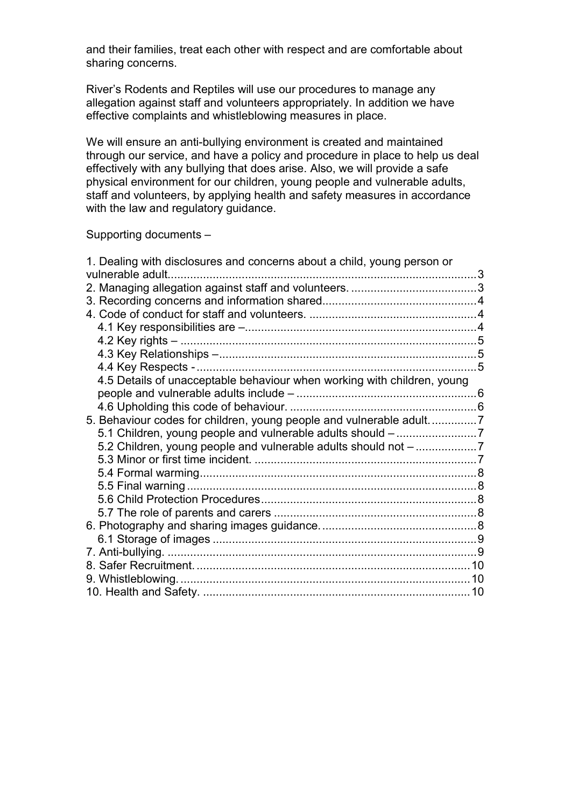and their families, treat each other with respect and are comfortable about sharing concerns.

River's Rodents and Reptiles will use our procedures to manage any allegation against staff and volunteers appropriately. In addition we have effective complaints and whistleblowing measures in place.

We will ensure an anti-bullying environment is created and maintained through our service, and have a policy and procedure in place to help us deal effectively with any bullying that does arise. Also, we will provide a safe physical environment for our children, young people and vulnerable adults, staff and volunteers, by applying health and safety measures in accordance with the law and regulatory guidance.

Supporting documents –

| 1. Dealing with disclosures and concerns about a child, young person or<br>vulnerable adult. |  |
|----------------------------------------------------------------------------------------------|--|
|                                                                                              |  |
|                                                                                              |  |
|                                                                                              |  |
|                                                                                              |  |
|                                                                                              |  |
|                                                                                              |  |
|                                                                                              |  |
| 4.5 Details of unacceptable behaviour when working with children, young                      |  |
|                                                                                              |  |
|                                                                                              |  |
| 5. Behaviour codes for children, young people and vulnerable adult7                          |  |
|                                                                                              |  |
|                                                                                              |  |
| 5.2 Children, young people and vulnerable adults should not -7                               |  |
|                                                                                              |  |
|                                                                                              |  |
|                                                                                              |  |
|                                                                                              |  |
|                                                                                              |  |
|                                                                                              |  |
|                                                                                              |  |
|                                                                                              |  |
|                                                                                              |  |
|                                                                                              |  |
|                                                                                              |  |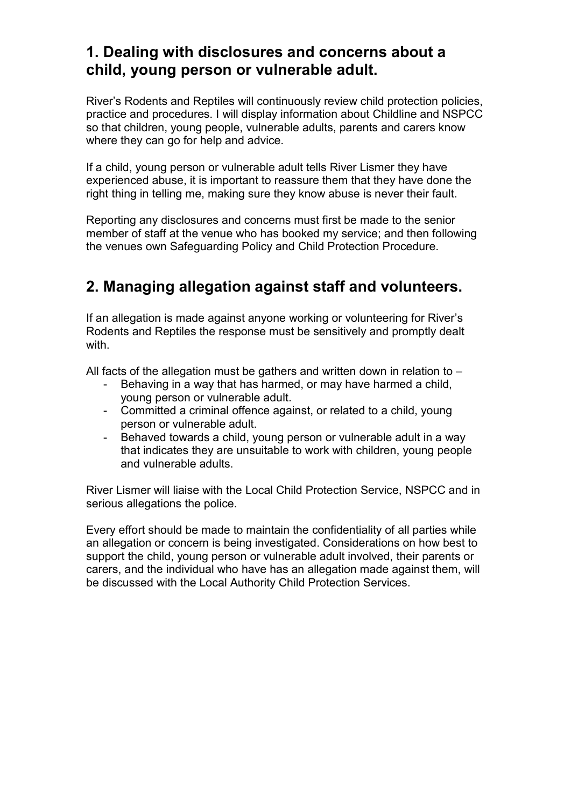## 1. Dealing with disclosures and concerns about a child, young person or vulnerable adult.

River's Rodents and Reptiles will continuously review child protection policies, practice and procedures. I will display information about Childline and NSPCC so that children, young people, vulnerable adults, parents and carers know where they can go for help and advice.

If a child, young person or vulnerable adult tells River Lismer they have experienced abuse, it is important to reassure them that they have done the right thing in telling me, making sure they know abuse is never their fault.

Reporting any disclosures and concerns must first be made to the senior member of staff at the venue who has booked my service; and then following the venues own Safeguarding Policy and Child Protection Procedure.

## 2. Managing allegation against staff and volunteers.

If an allegation is made against anyone working or volunteering for River's Rodents and Reptiles the response must be sensitively and promptly dealt with

All facts of the allegation must be gathers and written down in relation to -

- Behaving in a way that has harmed, or may have harmed a child, young person or vulnerable adult.
- Committed a criminal offence against, or related to a child, young person or vulnerable adult.
- Behaved towards a child, young person or vulnerable adult in a way that indicates they are unsuitable to work with children, young people and vulnerable adults.

River Lismer will liaise with the Local Child Protection Service, NSPCC and in serious allegations the police.

Every effort should be made to maintain the confidentiality of all parties while an allegation or concern is being investigated. Considerations on how best to support the child, young person or vulnerable adult involved, their parents or carers, and the individual who have has an allegation made against them, will be discussed with the Local Authority Child Protection Services.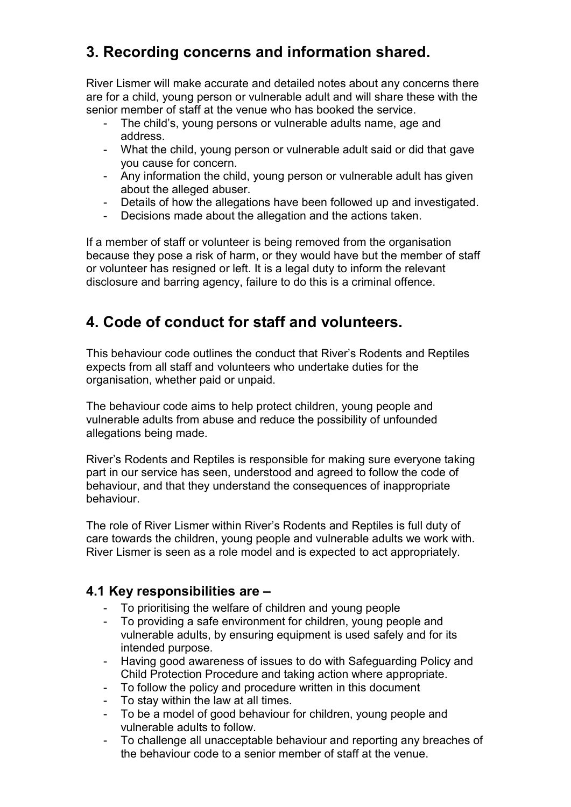## 3. Recording concerns and information shared.

River Lismer will make accurate and detailed notes about any concerns there are for a child, young person or vulnerable adult and will share these with the senior member of staff at the venue who has booked the service.

- The child's, young persons or vulnerable adults name, age and address.
- What the child, young person or vulnerable adult said or did that gave you cause for concern.
- Any information the child, young person or vulnerable adult has given about the alleged abuser.
- Details of how the allegations have been followed up and investigated.
- Decisions made about the allegation and the actions taken.

If a member of staff or volunteer is being removed from the organisation because they pose a risk of harm, or they would have but the member of staff or volunteer has resigned or left. It is a legal duty to inform the relevant disclosure and barring agency, failure to do this is a criminal offence.

## 4. Code of conduct for staff and volunteers.

This behaviour code outlines the conduct that River's Rodents and Reptiles expects from all staff and volunteers who undertake duties for the organisation, whether paid or unpaid.

The behaviour code aims to help protect children, young people and vulnerable adults from abuse and reduce the possibility of unfounded allegations being made.

River's Rodents and Reptiles is responsible for making sure everyone taking part in our service has seen, understood and agreed to follow the code of behaviour, and that they understand the consequences of inappropriate behaviour.

The role of River Lismer within River's Rodents and Reptiles is full duty of care towards the children, young people and vulnerable adults we work with. River Lismer is seen as a role model and is expected to act appropriately.

### 4.1 Key responsibilities are –

- To prioritising the welfare of children and young people
- To providing a safe environment for children, young people and vulnerable adults, by ensuring equipment is used safely and for its intended purpose.
- Having good awareness of issues to do with Safeguarding Policy and Child Protection Procedure and taking action where appropriate.
- To follow the policy and procedure written in this document
- To stay within the law at all times.
- To be a model of good behaviour for children, young people and vulnerable adults to follow.
- To challenge all unacceptable behaviour and reporting any breaches of the behaviour code to a senior member of staff at the venue.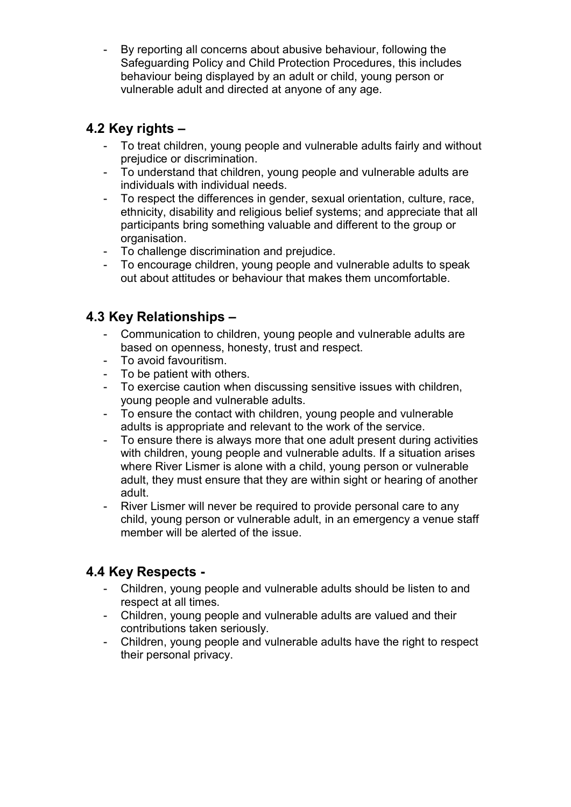- By reporting all concerns about abusive behaviour, following the Safeguarding Policy and Child Protection Procedures, this includes behaviour being displayed by an adult or child, young person or vulnerable adult and directed at anyone of any age.

### 4.2 Key rights –

- To treat children, young people and vulnerable adults fairly and without prejudice or discrimination.
- To understand that children, young people and vulnerable adults are individuals with individual needs.
- To respect the differences in gender, sexual orientation, culture, race, ethnicity, disability and religious belief systems; and appreciate that all participants bring something valuable and different to the group or organisation.
- To challenge discrimination and prejudice.
- To encourage children, young people and vulnerable adults to speak out about attitudes or behaviour that makes them uncomfortable.

### 4.3 Key Relationships –

- Communication to children, young people and vulnerable adults are based on openness, honesty, trust and respect.
- To avoid favouritism.
- To be patient with others.
- To exercise caution when discussing sensitive issues with children, young people and vulnerable adults.
- To ensure the contact with children, young people and vulnerable adults is appropriate and relevant to the work of the service.
- To ensure there is always more that one adult present during activities with children, young people and vulnerable adults. If a situation arises where River Lismer is alone with a child, young person or vulnerable adult, they must ensure that they are within sight or hearing of another adult.
- River Lismer will never be required to provide personal care to any child, young person or vulnerable adult, in an emergency a venue staff member will be alerted of the issue.

### 4.4 Key Respects -

- Children, young people and vulnerable adults should be listen to and respect at all times.
- Children, young people and vulnerable adults are valued and their contributions taken seriously.
- Children, young people and vulnerable adults have the right to respect their personal privacy.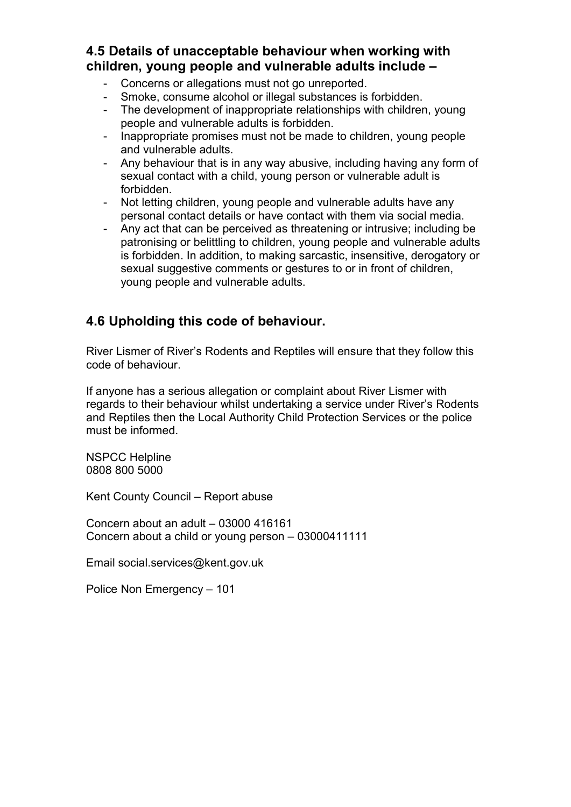### 4.5 Details of unacceptable behaviour when working with children, young people and vulnerable adults include –

- Concerns or allegations must not go unreported.
- Smoke, consume alcohol or illegal substances is forbidden.
- The development of inappropriate relationships with children, young people and vulnerable adults is forbidden.
- Inappropriate promises must not be made to children, young people and vulnerable adults.
- Any behaviour that is in any way abusive, including having any form of sexual contact with a child, young person or vulnerable adult is forbidden.
- Not letting children, young people and vulnerable adults have any personal contact details or have contact with them via social media.
- Any act that can be perceived as threatening or intrusive; including be patronising or belittling to children, young people and vulnerable adults is forbidden. In addition, to making sarcastic, insensitive, derogatory or sexual suggestive comments or gestures to or in front of children. young people and vulnerable adults.

### 4.6 Upholding this code of behaviour.

River Lismer of River's Rodents and Reptiles will ensure that they follow this code of behaviour.

If anyone has a serious allegation or complaint about River Lismer with regards to their behaviour whilst undertaking a service under River's Rodents and Reptiles then the Local Authority Child Protection Services or the police must be informed.

NSPCC Helpline 0808 800 5000

Kent County Council – Report abuse

Concern about an adult – 03000 416161 Concern about a child or young person – 03000411111

Email social.services@kent.gov.uk

Police Non Emergency – 101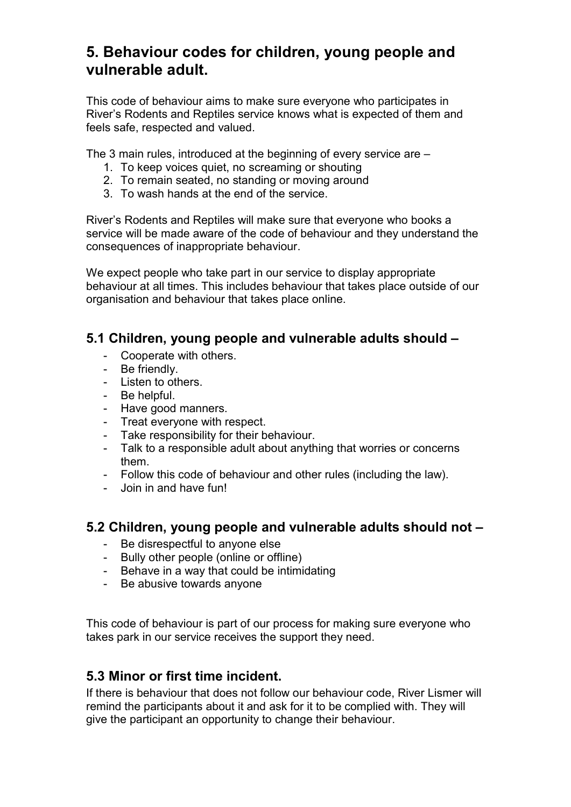## 5. Behaviour codes for children, young people and vulnerable adult.

This code of behaviour aims to make sure everyone who participates in River's Rodents and Reptiles service knows what is expected of them and feels safe, respected and valued.

The 3 main rules, introduced at the beginning of every service are –

- 1. To keep voices quiet, no screaming or shouting
- 2. To remain seated, no standing or moving around
- 3. To wash hands at the end of the service.

River's Rodents and Reptiles will make sure that everyone who books a service will be made aware of the code of behaviour and they understand the consequences of inappropriate behaviour.

We expect people who take part in our service to display appropriate behaviour at all times. This includes behaviour that takes place outside of our organisation and behaviour that takes place online.

#### 5.1 Children, young people and vulnerable adults should –

- Cooperate with others.
- Be friendly.
- Listen to others.
- Be helpful.
- Have good manners.
- Treat everyone with respect.<br>- Take responsibility for their h
- Take responsibility for their behaviour.
- Talk to a responsible adult about anything that worries or concerns them.
- Follow this code of behaviour and other rules (including the law).
- Join in and have fun!

#### 5.2 Children, young people and vulnerable adults should not –

- Be disrespectful to anyone else
- Bully other people (online or offline)
- Behave in a way that could be intimidating
- Be abusive towards anyone

This code of behaviour is part of our process for making sure everyone who takes park in our service receives the support they need.

#### 5.3 Minor or first time incident.

If there is behaviour that does not follow our behaviour code, River Lismer will remind the participants about it and ask for it to be complied with. They will give the participant an opportunity to change their behaviour.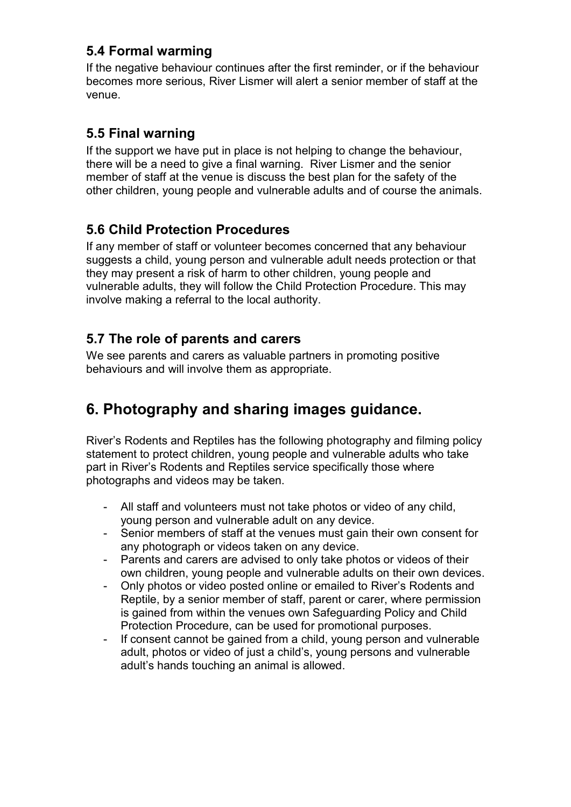### 5.4 Formal warming

If the negative behaviour continues after the first reminder, or if the behaviour becomes more serious, River Lismer will alert a senior member of staff at the venue.

## 5.5 Final warning

If the support we have put in place is not helping to change the behaviour, there will be a need to give a final warning. River Lismer and the senior member of staff at the venue is discuss the best plan for the safety of the other children, young people and vulnerable adults and of course the animals.

## 5.6 Child Protection Procedures

If any member of staff or volunteer becomes concerned that any behaviour suggests a child, young person and vulnerable adult needs protection or that they may present a risk of harm to other children, young people and vulnerable adults, they will follow the Child Protection Procedure. This may involve making a referral to the local authority.

### 5.7 The role of parents and carers

We see parents and carers as valuable partners in promoting positive behaviours and will involve them as appropriate.

# 6. Photography and sharing images guidance.

River's Rodents and Reptiles has the following photography and filming policy statement to protect children, young people and vulnerable adults who take part in River's Rodents and Reptiles service specifically those where photographs and videos may be taken.

- All staff and volunteers must not take photos or video of any child, young person and vulnerable adult on any device.
- Senior members of staff at the venues must gain their own consent for any photograph or videos taken on any device.
- Parents and carers are advised to only take photos or videos of their own children, young people and vulnerable adults on their own devices.
- Only photos or video posted online or emailed to River's Rodents and Reptile, by a senior member of staff, parent or carer, where permission is gained from within the venues own Safeguarding Policy and Child Protection Procedure, can be used for promotional purposes.
- If consent cannot be gained from a child, young person and vulnerable adult, photos or video of just a child's, young persons and vulnerable adult's hands touching an animal is allowed.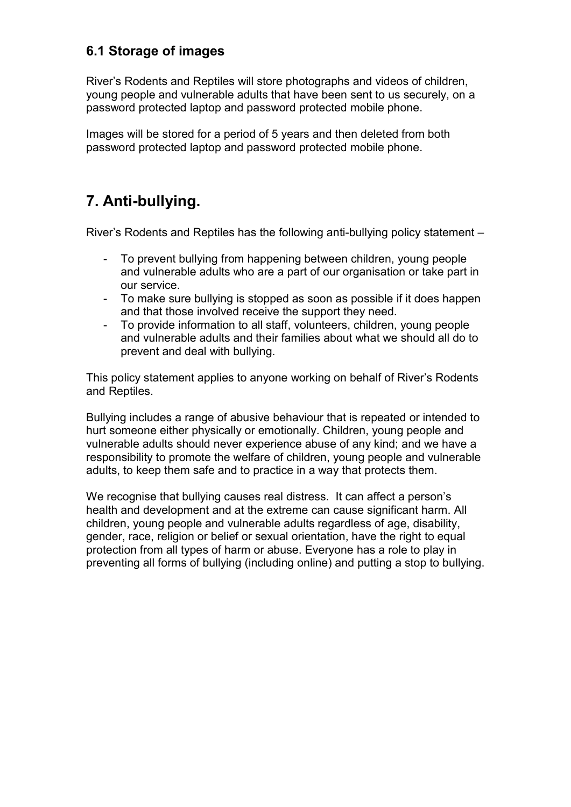### 6.1 Storage of images

River's Rodents and Reptiles will store photographs and videos of children, young people and vulnerable adults that have been sent to us securely, on a password protected laptop and password protected mobile phone.

Images will be stored for a period of 5 years and then deleted from both password protected laptop and password protected mobile phone.

## 7. Anti-bullying.

River's Rodents and Reptiles has the following anti-bullying policy statement –

- To prevent bullying from happening between children, young people and vulnerable adults who are a part of our organisation or take part in our service.
- To make sure bullying is stopped as soon as possible if it does happen and that those involved receive the support they need.
- To provide information to all staff, volunteers, children, young people and vulnerable adults and their families about what we should all do to prevent and deal with bullying.

This policy statement applies to anyone working on behalf of River's Rodents and Reptiles.

Bullying includes a range of abusive behaviour that is repeated or intended to hurt someone either physically or emotionally. Children, young people and vulnerable adults should never experience abuse of any kind; and we have a responsibility to promote the welfare of children, young people and vulnerable adults, to keep them safe and to practice in a way that protects them.

We recognise that bullying causes real distress. It can affect a person's health and development and at the extreme can cause significant harm. All children, young people and vulnerable adults regardless of age, disability, gender, race, religion or belief or sexual orientation, have the right to equal protection from all types of harm or abuse. Everyone has a role to play in preventing all forms of bullying (including online) and putting a stop to bullying.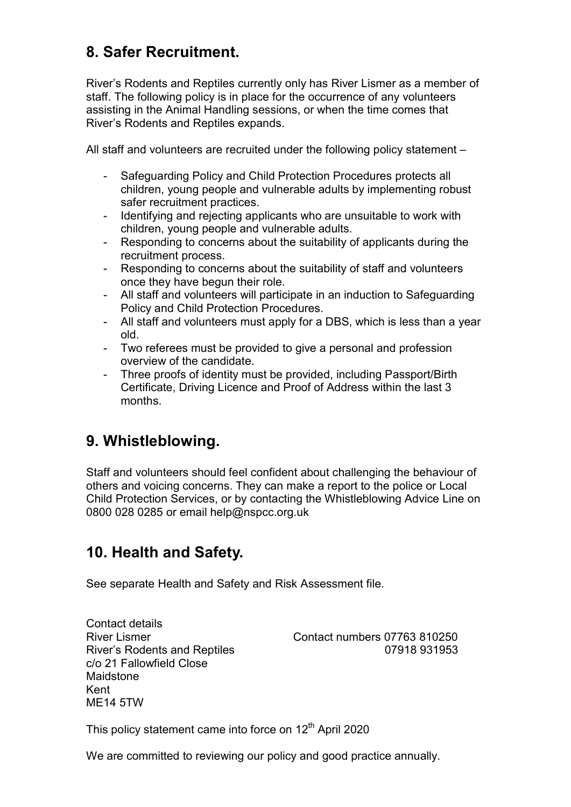## 8. Safer Recruitment.

River's Rodents and Reptiles currently only has River Lismer as a member of staff. The following policy is in place for the occurrence of any volunteers assisting in the Animal Handling sessions, or when the time comes that River's Rodents and Reptiles expands.

All staff and volunteers are recruited under the following policy statement –

- Safeguarding Policy and Child Protection Procedures protects all children, young people and vulnerable adults by implementing robust safer recruitment practices.
- Identifying and rejecting applicants who are unsuitable to work with children, young people and vulnerable adults.
- Responding to concerns about the suitability of applicants during the recruitment process.
- Responding to concerns about the suitability of staff and volunteers once they have begun their role.
- All staff and volunteers will participate in an induction to Safeguarding Policy and Child Protection Procedures.
- All staff and volunteers must apply for a DBS, which is less than a year old.
- Two referees must be provided to give a personal and profession overview of the candidate.
- Three proofs of identity must be provided, including Passport/Birth Certificate, Driving Licence and Proof of Address within the last 3 months.

## 9. Whistleblowing.

Staff and volunteers should feel confident about challenging the behaviour of others and voicing concerns. They can make a report to the police or Local Child Protection Services, or by contacting the Whistleblowing Advice Line on 0800 028 0285 or email help@nspcc.org.uk

## 10. Health and Safety.

See separate Health and Safety and Risk Assessment file.

Contact details c/o 21 Fallowfield Close Maidstone Kent ME14 5TW

River Lismer Contact numbers 07763 810250 River's Rodents and Reptiles **Contract Contract Contract Contract Contract Contract Contract Contract Contract Contract Contract Contract Contract Contract Contract Contract Contract Contract Contract Contract Contract Con** 

This policy statement came into force on 12<sup>th</sup> April 2020

We are committed to reviewing our policy and good practice annually.